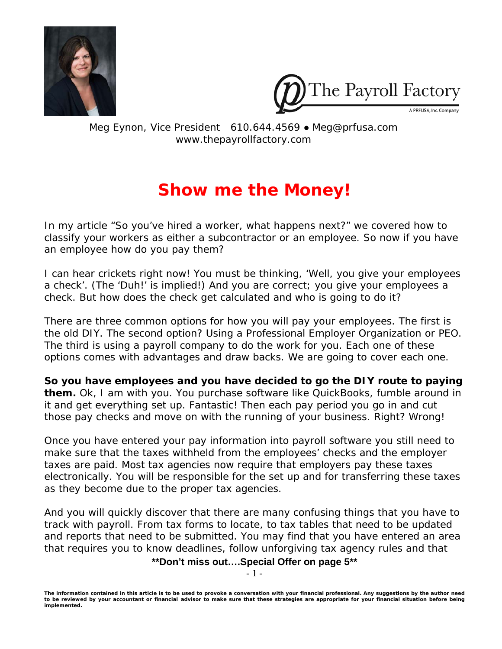



Meg Eynon, Vice President 610.644.4569 ● Meg@prfusa.com www.thepayrollfactory.com

# **Show me the Money!**

In my article "So you've hired a worker, what happens next?" we covered how to classify your workers as either a subcontractor or an employee. So now if you have an employee how do you pay them?

I can hear crickets right now! You must be thinking, 'Well, you give your employees a check'. (The 'Duh!' is implied!) And you are correct; you give your employees a check. But how does the check get calculated and who is going to do it?

There are three common options for how you will pay your employees. The first is the old DIY. The second option? Using a Professional Employer Organization or PEO. The third is using a payroll company to do the work for you. Each one of these options comes with advantages and draw backs. We are going to cover each one.

**So you have employees and you have decided to go the DIY route to paying them.** Ok, I am with you. You purchase software like QuickBooks, fumble around in it and get everything set up. Fantastic! Then each pay period you go in and cut those pay checks and move on with the running of your business. Right? Wrong!

Once you have entered your pay information into payroll software you still need to make sure that the taxes withheld from the employees' checks and the employer taxes are paid. Most tax agencies now require that employers pay these taxes electronically. You will be responsible for the set up and for transferring these taxes as they become due to the proper tax agencies.

And you will quickly discover that there are many confusing things that you have to track with payroll. From tax forms to locate, to tax tables that need to be updated and reports that need to be submitted. You may find that you have entered an area that requires you to know deadlines, follow unforgiving tax agency rules and that

**\*\*Don't miss out….Special Offer on page 5\*\*** 

- 1 -

*The information contained in this article is to be used to provoke a conversation with your financial professional. Any suggestions by the author need to be reviewed by your accountant or financial advisor to make sure that these strategies are appropriate for your financial situation before being implemented.*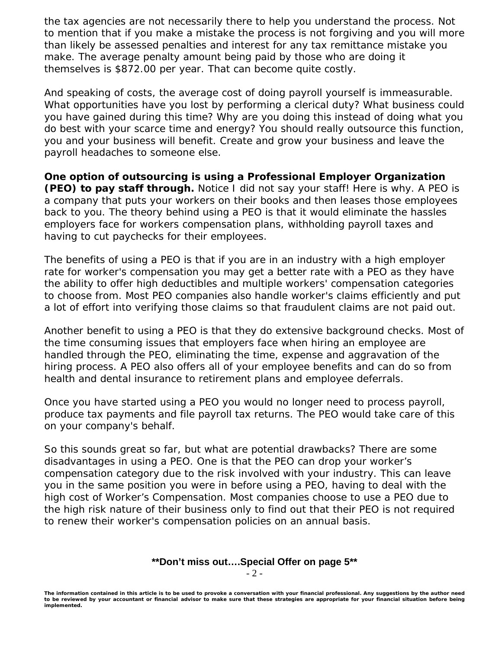the tax agencies are not necessarily there to help you understand the process. Not to mention that if you make a mistake the process is not forgiving and you will more than likely be assessed penalties and interest for any tax remittance mistake you make. The average penalty amount being paid by those who are doing it themselves is \$872.00 per year. That can become quite costly.

And speaking of costs, the average cost of doing payroll yourself is immeasurable. What opportunities have you lost by performing a clerical duty? What business could you have gained during this time? Why are you doing this instead of doing what you do best with your scarce time and energy? You should really outsource this function, you and your business will benefit. Create and grow your business and leave the payroll headaches to someone else.

**One option of outsourcing is using a Professional Employer Organization (PEO) to pay staff through.** Notice I did not say *your* staff! Here is why. A PEO is a company that puts your workers on their books and then leases those employees back to you. The theory behind using a PEO is that it would eliminate the hassles employers face for workers compensation plans, withholding payroll taxes and having to cut paychecks for their employees.

The benefits of using a PEO is that if you are in an industry with a high employer rate for worker's compensation you may get a better rate with a PEO as they have the ability to offer high deductibles and multiple workers' compensation categories to choose from. Most PEO companies also handle worker's claims efficiently and put a lot of effort into verifying those claims so that fraudulent claims are not paid out.

Another benefit to using a PEO is that they do extensive background checks. Most of the time consuming issues that employers face when hiring an employee are handled through the PEO, eliminating the time, expense and aggravation of the hiring process. A PEO also offers all of your employee benefits and can do so from health and dental insurance to retirement plans and employee deferrals.

Once you have started using a PEO you would no longer need to process payroll, produce tax payments and file payroll tax returns. The PEO would take care of this on your company's behalf.

So this sounds great so far, but what are potential drawbacks? There are some disadvantages in using a PEO. One is that the PEO can drop your worker's compensation category due to the risk involved with your industry. This can leave you in the same position you were in before using a PEO, having to deal with the high cost of Worker's Compensation. Most companies choose to use a PEO due to the high risk nature of their business only to find out that their PEO is not required to renew their worker's compensation policies on an annual basis.

### **\*\*Don't miss out….Special Offer on page 5\*\***

- 2 -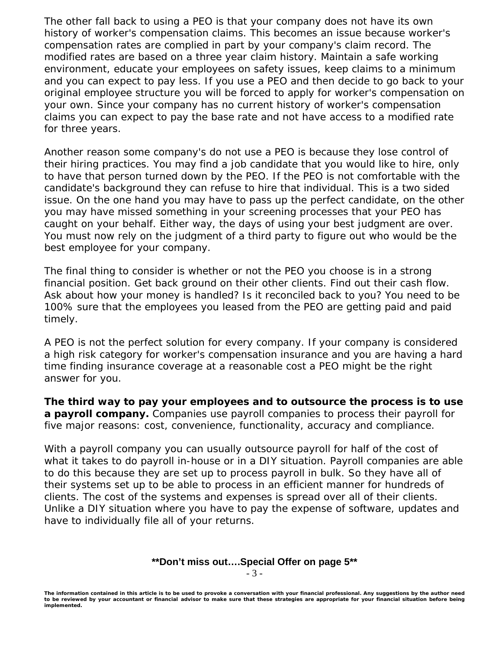The other fall back to using a PEO is that your company does not have its own history of worker's compensation claims. This becomes an issue because worker's compensation rates are complied in part by your company's claim record. The modified rates are based on a three year claim history. Maintain a safe working environment, educate your employees on safety issues, keep claims to a minimum and you can expect to pay less. If you use a PEO and then decide to go back to your original employee structure you will be forced to apply for worker's compensation on your own. Since your company has no current history of worker's compensation claims you can expect to pay the base rate and not have access to a modified rate for three years.

Another reason some company's do not use a PEO is because they lose control of their hiring practices. You may find a job candidate that you would like to hire, only to have that person turned down by the PEO. If the PEO is not comfortable with the candidate's background they can refuse to hire that individual. This is a two sided issue. On the one hand you may have to pass up the perfect candidate, on the other you may have missed something in your screening processes that your PEO has caught on your behalf. Either way, the days of using your best judgment are over. You must now rely on the judgment of a third party to figure out who would be the best employee for your company.

The final thing to consider is whether or not the PEO you choose is in a strong financial position. Get back ground on their other clients. Find out their cash flow. Ask about how your money is handled? Is it reconciled back to you? You need to be 100% sure that the employees you leased from the PEO are getting paid and paid timely.

A PEO is not the perfect solution for every company. If your company is considered a high risk category for worker's compensation insurance and you are having a hard time finding insurance coverage at a reasonable cost a PEO might be the right answer for you.

**The third way to pay your employees and to outsource the process is to use a payroll company.** Companies use payroll companies to process their payroll for five major reasons: cost, convenience, functionality, accuracy and compliance.

With a payroll company you can usually outsource payroll for half of the cost of what it takes to do payroll in-house or in a DIY situation. Payroll companies are able to do this because they are set up to process payroll in bulk. So they have all of their systems set up to be able to process in an efficient manner for hundreds of clients. The cost of the systems and expenses is spread over all of their clients. Unlike a DIY situation where you have to pay the expense of software, updates and have to individually file all of your returns.

## **\*\*Don't miss out….Special Offer on page 5\*\***

- 3 -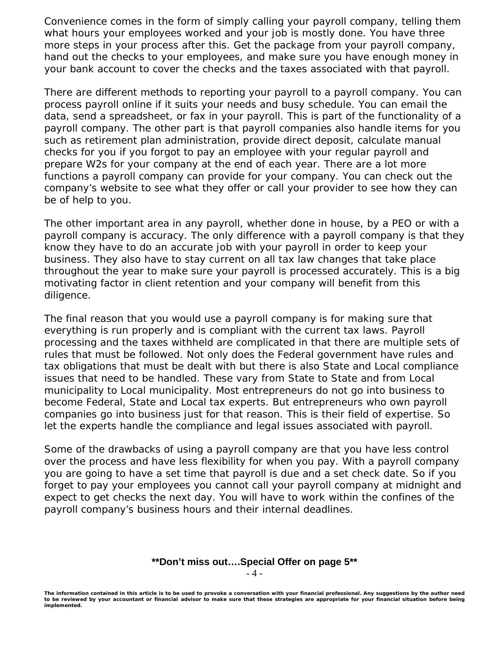Convenience comes in the form of simply calling your payroll company, telling them what hours your employees worked and your job is mostly done. You have three more steps in your process after this. Get the package from your payroll company, hand out the checks to your employees, and make sure you have enough money in your bank account to cover the checks and the taxes associated with that payroll.

There are different methods to reporting your payroll to a payroll company. You can process payroll online if it suits your needs and busy schedule. You can email the data, send a spreadsheet, or fax in your payroll. This is part of the functionality of a payroll company. The other part is that payroll companies also handle items for you such as retirement plan administration, provide direct deposit, calculate manual checks for you if you forgot to pay an employee with your regular payroll and prepare W2s for your company at the end of each year. There are a lot more functions a payroll company can provide for your company. You can check out the company's website to see what they offer or call your provider to see how they can be of help to you.

The other important area in any payroll, whether done in house, by a PEO or with a payroll company is accuracy. The only difference with a payroll company is that they know they have to do an accurate job with your payroll in order to keep your business. They also have to stay current on all tax law changes that take place throughout the year to make sure your payroll is processed accurately. This is a big motivating factor in client retention and your company will benefit from this diligence.

The final reason that you would use a payroll company is for making sure that everything is run properly and is compliant with the current tax laws. Payroll processing and the taxes withheld are complicated in that there are multiple sets of rules that must be followed. Not only does the Federal government have rules and tax obligations that must be dealt with but there is also State and Local compliance issues that need to be handled. These vary from State to State and from Local municipality to Local municipality. Most entrepreneurs do not go into business to become Federal, State and Local tax experts. But entrepreneurs who own payroll companies go into business just for that reason. This is their field of expertise. So let the experts handle the compliance and legal issues associated with payroll.

Some of the drawbacks of using a payroll company are that you have less control over the process and have less flexibility for when you pay. With a payroll company you are going to have a set time that payroll is due and a set check date. So if you forget to pay your employees you cannot call your payroll company at midnight and expect to get checks the next day. You will have to work within the confines of the payroll company's business hours and their internal deadlines.

### **\*\*Don't miss out….Special Offer on page 5\*\***

- 4 -